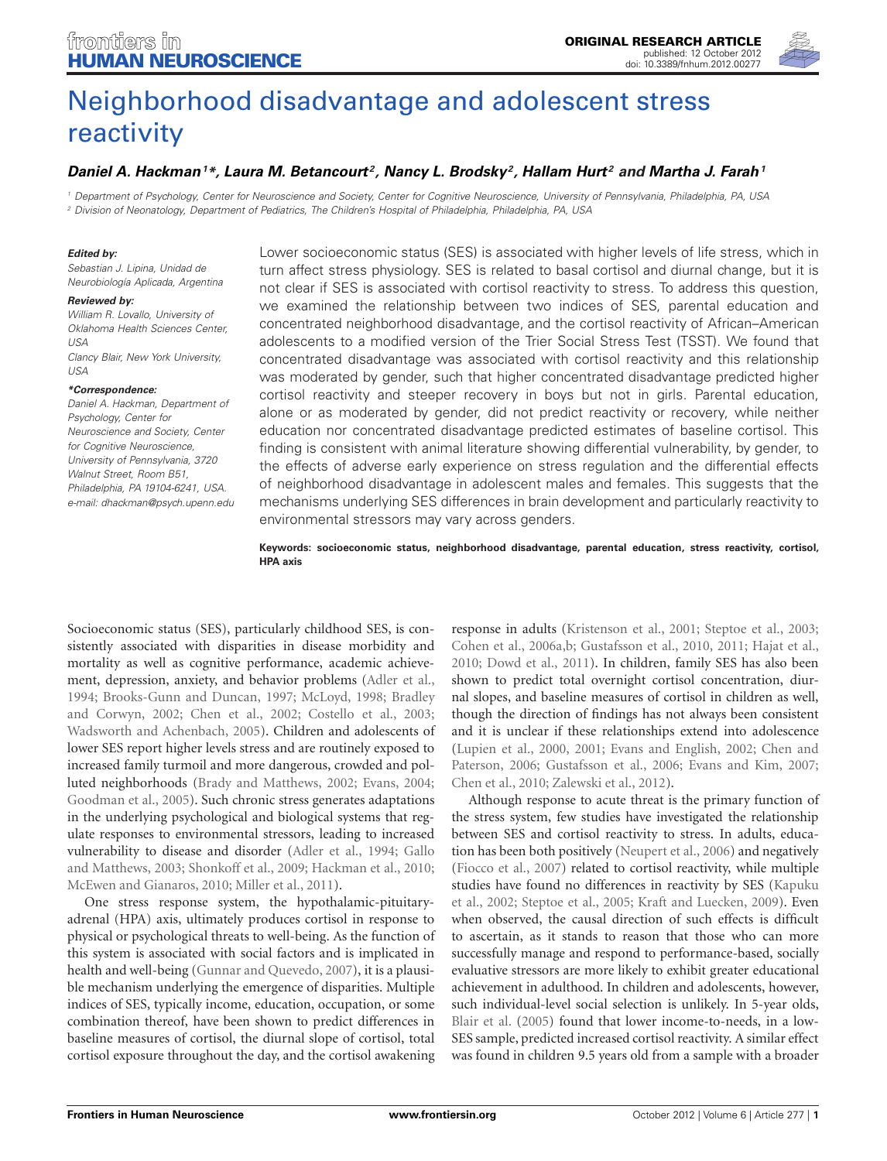

# [Neighborhood disadvantage](http://www.frontiersin.org/Human_Neuroscience/10.3389/fnhum.2012.00277/abstract) and adolescent stress reactivity

# *[Daniel A. Hackman1](http://www.frontiersin.org/Community/WhosWhoActivity.aspx?sname=DanielHackman&UID=46783) \*, [Laura M. Betancourt](http://www.frontiersin.org/Community/WhosWhoActivity.aspx?sname=LauraBetancourt&UID=55481) 2, [Nancy L. Brodsky2](http://www.frontiersin.org/Community/WhosWhoActivity.aspx?sname=NancyBrodsky&UID=55628), [Hallam Hurt](http://community.frontiersin.org/people/HallamHurt/68673) <sup>2</sup> and [Martha J. Farah](http://www.frontiersin.org/Community/WhosWhoActivity.aspx?sname=MarthaFarah&UID=7350)1*

*<sup>1</sup> Department of Psychology, Center for Neuroscience and Society, Center for Cognitive Neuroscience, University of Pennsylvania, Philadelphia, PA, USA <sup>2</sup> Division of Neonatology, Department of Pediatrics, The Children's Hospital of Philadelphia, Philadelphia, PA, USA*

#### *Edited by:*

*Sebastian J. Lipina, Unidad de Neurobiología Aplicada, Argentina*

#### *Reviewed by:*

*William R. Lovallo, University of Oklahoma Health Sciences Center, USA Clancy Blair, New York University, USA*

#### *\*Correspondence:*

*Daniel A. Hackman, Department of Psychology, Center for Neuroscience and Society, Center for Cognitive Neuroscience, University of Pennsylvania, 3720 Walnut Street, Room B51, Philadelphia, PA 19104-6241, USA. e-mail: dhackman@psych.upenn.edu*

Lower socioeconomic status (SES) is associated with higher levels of life stress, which in turn affect stress physiology. SES is related to basal cortisol and diurnal change, but it is not clear if SES is associated with cortisol reactivity to stress. To address this question, we examined the relationship between two indices of SES, parental education and concentrated neighborhood disadvantage, and the cortisol reactivity of African–American adolescents to a modified version of the Trier Social Stress Test (TSST). We found that concentrated disadvantage was associated with cortisol reactivity and this relationship was moderated by gender, such that higher concentrated disadvantage predicted higher cortisol reactivity and steeper recovery in boys but not in girls. Parental education, alone or as moderated by gender, did not predict reactivity or recovery, while neither education nor concentrated disadvantage predicted estimates of baseline cortisol. This finding is consistent with animal literature showing differential vulnerability, by gender, to the effects of adverse early experience on stress regulation and the differential effects of neighborhood disadvantage in adolescent males and females. This suggests that the mechanisms underlying SES differences in brain development and particularly reactivity to environmental stressors may vary across genders.

**Keywords: socioeconomic status, neighborhood disadvantage, parental education, stress reactivity, cortisol, HPA axis**

Socioeconomic status (SES), particularly childhood SES, is consistently associated with disparities in disease morbidity and mortality as well as cognitive performance, academic achievement, depression, anxiety, and behavior problems [\(Adler et al.,](#page-8-0) [1994](#page-8-0); [Brooks-Gunn and Duncan](#page-8-1)[,](#page-8-2) [1997](#page-8-1)[;](#page-8-2) [McLoyd](#page-9-0)[,](#page-8-2) [1998](#page-9-0)[;](#page-8-2) Bradley and Corwyn, [2002;](#page-8-2) [Chen et al.](#page-8-3), [2002;](#page-8-3) [Costello et al.](#page-8-4), [2003;](#page-8-4) [Wadsworth and Achenbach](#page-10-0), [2005\)](#page-10-0). Children and adolescents of lower SES report higher levels stress and are routinely exposed to increased family turmoil and more dangerous, crowded and polluted neighborhoods [\(Brady and Matthews, 2002;](#page-8-5) [Evans, 2004;](#page-8-6) [Goodman et al.](#page-8-7), [2005](#page-8-7)). Such chronic stress generates adaptations in the underlying psychological and biological systems that regulate responses to environmental stressors, leading to increased vulnerability [to disease and disorder](#page-8-8) [\(Adler et al.](#page-8-0)[,](#page-8-8) [1994](#page-8-0)[;](#page-8-8) Gallo and Matthews, [2003;](#page-8-8) [Shonkoff et al., 2009;](#page-9-1) [Hackman et al., 2010;](#page-8-9) [McEwen and Gianaros](#page-9-2), [2010;](#page-9-2) [Miller et al., 2011](#page-9-3)).

One stress response system, the hypothalamic-pituitaryadrenal (HPA) axis, ultimately produces cortisol in response to physical or psychological threats to well-being. As the function of this system is associated with social factors and is implicated in health and well-being [\(Gunnar and Quevedo](#page-8-10), [2007\)](#page-8-10), it is a plausible mechanism underlying the emergence of disparities. Multiple indices of SES, typically income, education, occupation, or some combination thereof, have been shown to predict differences in baseline measures of cortisol, the diurnal slope of cortisol, total cortisol exposure throughout the day, and the cortisol awakening

response in adults [\(Kristenson et al., 2001;](#page-9-4) [Steptoe et al., 2003;](#page-9-5) [Cohen et al.](#page-8-11), [2006a](#page-8-11)[,b;](#page-8-12) [Gustafsson et al.](#page-8-13), [2010,](#page-8-13) [2011;](#page-8-14) [Hajat et al.,](#page-8-15) [2010](#page-8-15); [Dowd et al.](#page-8-16), [2011\)](#page-8-16). In children, family SES has also been shown to predict total overnight cortisol concentration, diurnal slopes, and baseline measures of cortisol in children as well, though the direction of findings has not always been consistent and it is unclear if these relationships extend into adolescence [\(Lupien et al.](#page-9-6)[,](#page-8-18) [2000](#page-9-6)[,](#page-8-18) [2001](#page-9-7)[;](#page-8-18) [Evans and English, 2002;](#page-8-17) Chen and Paterson, [2006](#page-8-18); [Gustafsson et al., 2006](#page-8-19); [Evans and Kim](#page-8-20), [2007;](#page-8-20) [Chen et al., 2010](#page-8-21); [Zalewski et al.](#page-10-1), [2012\)](#page-10-1).

Although response to acute threat is the primary function of the stress system, few studies have investigated the relationship between SES and cortisol reactivity to stress. In adults, education has been both positively [\(Neupert et al., 2006](#page-9-8)) and negatively [\(Fiocco et al.](#page-8-22), [2007\)](#page-8-22) related to cortisol reactivity, while multiple stud[ies](#page-9-9) [have](#page-9-9) [found](#page-9-9) [no](#page-9-9) [differences](#page-9-9) [in](#page-9-9) [reactivity](#page-9-9) [by](#page-9-9) [SES](#page-9-9) [\(](#page-9-9)Kapuku et al., [2002](#page-9-9); [Steptoe et al., 2005](#page-9-10); [Kraft and Luecken, 2009\)](#page-9-11). Even when observed, the causal direction of such effects is difficult to ascertain, as it stands to reason that those who can more successfully manage and respond to performance-based, socially evaluative stressors are more likely to exhibit greater educational achievement in adulthood. In children and adolescents, however, such individual-level social selection is unlikely. In 5-year olds, [Blair et al.](#page-8-23) [\(2005\)](#page-8-23) found that lower income-to-needs, in a low-SES sample, predicted increased cortisol reactivity. A similar effect was found in children 9.5 years old from a sample with a broader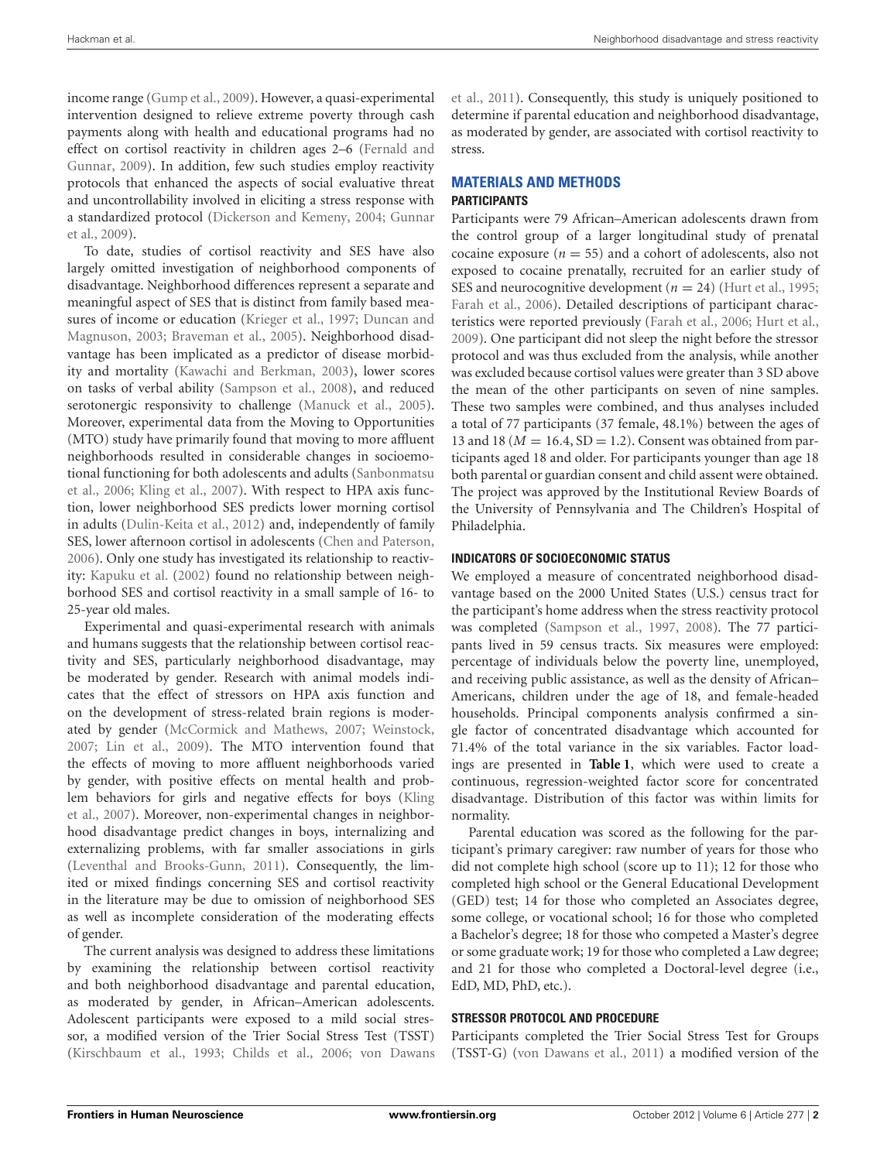income range [\(Gump et al.](#page-8-24), [2009\)](#page-8-24). However, a quasi-experimental intervention designed to relieve extreme poverty through cash payments along with health and educational programs had no effect o[n](#page-8-25) [cortisol](#page-8-25) [reactivity](#page-8-25) [in](#page-8-25) [children](#page-8-25) [ages](#page-8-25) [2–6](#page-8-25) [\(](#page-8-25)Fernald and Gunnar, [2009\)](#page-8-25). In addition, few such studies employ reactivity protocols that enhanced the aspects of social evaluative threat and uncontrollability involved in eliciting a stress response with a sta[ndardized protocol](#page-8-27) [\(Dickerson and Kemeny](#page-8-26)[,](#page-8-27) [2004](#page-8-26)[;](#page-8-27) Gunnar et al., [2009\)](#page-8-27).

To date, studies of cortisol reactivity and SES have also largely omitted investigation of neighborhood components of disadvantage. Neighborhood differences represent a separate and meaningful aspect of SES that is distinct from family based measures of in[come or education](#page-8-28) [\(Krieger et al.](#page-9-12)[,](#page-8-28) [1997](#page-9-12)[;](#page-8-28) Duncan and Magnuson, [2003;](#page-8-28) [Braveman et al., 2005\)](#page-8-29). Neighborhood disadvantage has been implicated as a predictor of disease morbidity and mortality [\(Kawachi and Berkman, 2003](#page-9-13)), lower scores on tasks of verbal ability [\(Sampson et al.](#page-9-14), [2008\)](#page-9-14), and reduced serotonergic responsivity to challenge [\(Manuck et al., 2005](#page-9-15)). Moreover, experimental data from the Moving to Opportunities (MTO) study have primarily found that moving to more affluent neighborhoods resulted in considerable changes in socioemotion[al functioning for both adolescents and adults \(](#page-9-16)Sanbonmatsu et al., [2006;](#page-9-16) [Kling et al.](#page-9-17), [2007](#page-9-17)). With respect to HPA axis function, lower neighborhood SES predicts lower morning cortisol in adults [\(Dulin-Keita et al.](#page-8-30), [2012](#page-8-30)) and, independently of family SES, lower afternoon cortisol in adolescents [\(Chen and Paterson](#page-8-18), [2006](#page-8-18)). Only one study has investigated its relationship to reactivity: [Kapuku et al.](#page-9-9) [\(2002\)](#page-9-9) found no relationship between neighborhood SES and cortisol reactivity in a small sample of 16- to 25-year old males.

Experimental and quasi-experimental research with animals and humans suggests that the relationship between cortisol reactivity and SES, particularly neighborhood disadvantage, may be moderated by gender. Research with animal models indicates that the effect of stressors on HPA axis function and on the development of stress-related brain regions is moderated by gender [\(McCormick and Mathews, 2007](#page-9-18); [Weinstock](#page-10-2), [2007](#page-10-2); [Lin et al., 2009\)](#page-9-19). The MTO intervention found that the effects of moving to more affluent neighborhoods varied by gender, with positive effects on mental health and problem [behaviors for girls and negative effects for boys \(](#page-9-17)Kling et al., [2007\)](#page-9-17). Moreover, non-experimental changes in neighborhood disadvantage predict changes in boys, internalizing and externalizing problems, with far smaller associations in girls [\(Leventhal and Brooks-Gunn, 2011](#page-9-20)). Consequently, the limited or mixed findings concerning SES and cortisol reactivity in the literature may be due to omission of neighborhood SES as well as incomplete consideration of the moderating effects of gender.

The current analysis was designed to address these limitations by examining the relationship between cortisol reactivity and both neighborhood disadvantage and parental education, as moderated by gender, in African–American adolescents. Adolescent participants were exposed to a mild social stressor, a modified version of the Trier Social Stress Test (TSST) [\(Kirschbaum et al.](#page-9-21), [1993](#page-9-21); [Childs et al., 2006](#page-8-31); von Dawans

et al., [2011\)](#page-9-22). Consequently, this study is uniquely positioned to determine if parental education and neighborhood disadvantage, as moderated by gender, are associated with cortisol reactivity to stress.

# **MATERIALS AND METHODS PARTICIPANTS**

Participants were 79 African–American adolescents drawn from the control group of a larger longitudinal study of prenatal cocaine exposure  $(n = 55)$  and a cohort of adolescents, also not exposed to cocaine prenatally, recruited for an earlier study of SES and neurocognitive development (*n* = 24) [\(Hurt et al., 1995;](#page-9-23) [Farah et al.](#page-8-32), [2006\)](#page-8-32). Detailed descriptions of participant characteristics were reported previously [\(Farah et al.](#page-8-32), [2006;](#page-8-32) [Hurt et al.,](#page-9-24) [2009](#page-9-24)). One participant did not sleep the night before the stressor protocol and was thus excluded from the analysis, while another was excluded because cortisol values were greater than 3 SD above the mean of the other participants on seven of nine samples. These two samples were combined, and thus analyses included a total of 77 participants (37 female, 48.1%) between the ages of 13 and 18 ( $M = 16.4$ , SD = 1.2). Consent was obtained from participants aged 18 and older. For participants younger than age 18 both parental or guardian consent and child assent were obtained. The project was approved by the Institutional Review Boards of the University of Pennsylvania and The Children's Hospital of Philadelphia.

# **INDICATORS OF SOCIOECONOMIC STATUS**

We employed a measure of concentrated neighborhood disadvantage based on the 2000 United States (U.S.) census tract for the participant's home address when the stress reactivity protocol was completed [\(Sampson et al., 1997,](#page-9-25) [2008](#page-9-14)). The 77 participants lived in 59 census tracts. Six measures were employed: percentage of individuals below the poverty line, unemployed, and receiving public assistance, as well as the density of African– Americans, children under the age of 18, and female-headed households. Principal components analysis confirmed a single factor of concentrated disadvantage which accounted for 71.4% of the total variance in the six variables. Factor loadings are presented in **[Table 1](#page-2-0)**, which were used to create a continuous, regression-weighted factor score for concentrated disadvantage. Distribution of this factor was within limits for normality.

Parental education was scored as the following for the participant's primary caregiver: raw number of years for those who did not complete high school (score up to 11); 12 for those who completed high school or the General Educational Development (GED) test; 14 for those who completed an Associates degree, some college, or vocational school; 16 for those who completed a Bachelor's degree; 18 for those who competed a Master's degree or some graduate work; 19 for those who completed a Law degree; and 21 for those who completed a Doctoral-level degree (i.e., EdD, MD, PhD, etc.).

# **STRESSOR PROTOCOL AND PROCEDURE**

Participants completed the Trier Social Stress Test for Groups (TSST-G) [\(von Dawans et al.](#page-9-22), [2011](#page-9-22)) a modified version of the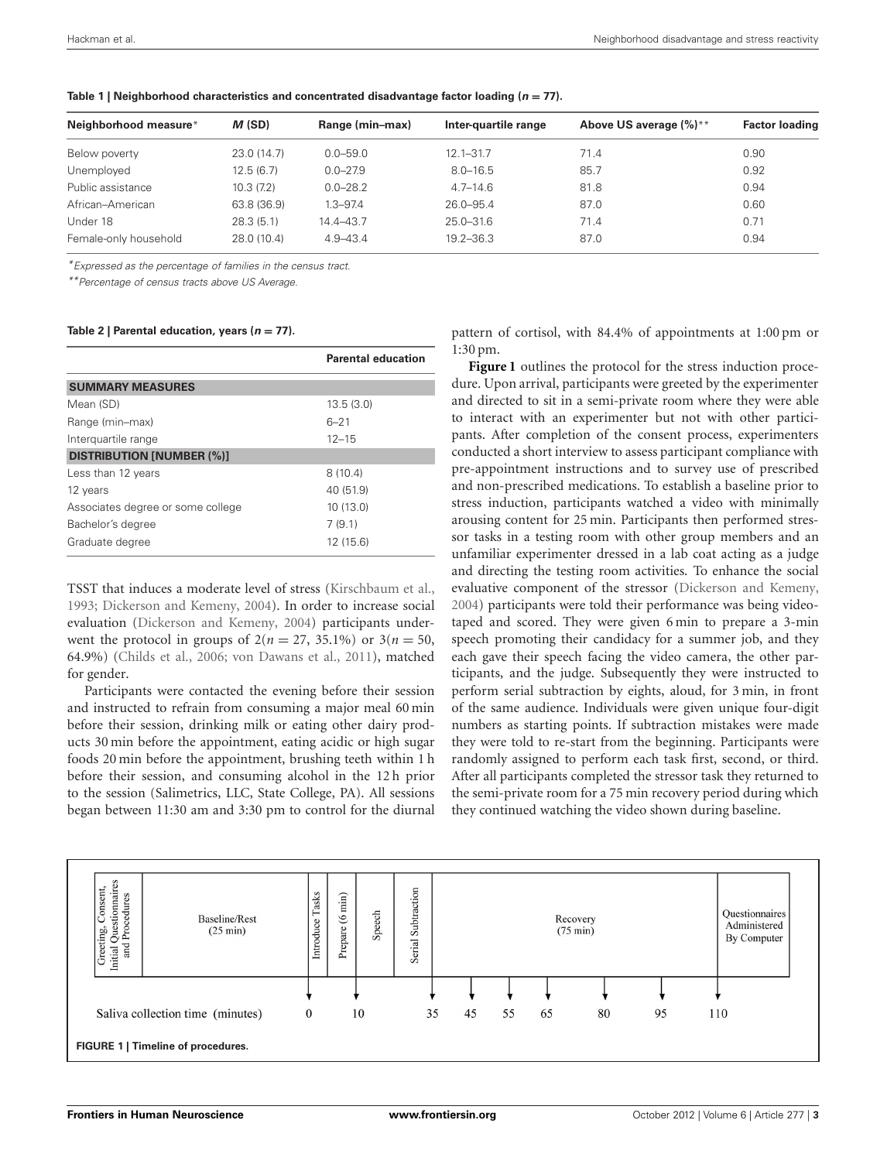| Neighborhood measure* | M(SD)       | Range (min-max) | Inter-quartile range | Above US average (%)** | <b>Factor loading</b> |
|-----------------------|-------------|-----------------|----------------------|------------------------|-----------------------|
| Below poverty         | 23.0(14.7)  | $0.0 - 59.0$    | $12.1 - 31.7$        | 71.4                   | 0.90                  |
| Unemployed            | 12.5(6.7)   | $0.0 - 27.9$    | $8.0 - 16.5$         | 85.7                   | 0.92                  |
| Public assistance     | 10.3(7.2)   | $0.0 - 28.2$    | $4.7 - 14.6$         | 81.8                   | 0.94                  |
| African-American      | 63.8 (36.9) | $1.3 - 97.4$    | 26.0-95.4            | 87.0                   | 0.60                  |
| Under 18              | 28.3(5.1)   | 14.4-43.7       | 25.0-31.6            | 71.4                   | 0.71                  |
| Female-only household | 28.0 (10.4) | $4.9 - 43.4$    | $19.2 - 36.3$        | 87.0                   | 0.94                  |

<span id="page-2-0"></span>**Table 1 | Neighborhood characteristics and concentrated disadvantage factor loading (***n* **= 77).**

*\*Expressed as the percentage of families in the census tract.*

*\*\*Percentage of census tracts above US Average.*

#### <span id="page-2-2"></span>Table 2 | Parental education, years  $(n = 77)$ .

|                                   | <b>Parental education</b> |
|-----------------------------------|---------------------------|
| <b>SUMMARY MEASURES</b>           |                           |
| Mean (SD)                         | 13.5(3.0)                 |
| Range (min-max)                   | $6 - 21$                  |
| Interquartile range               | $12 - 15$                 |
| <b>DISTRIBUTION [NUMBER (%)]</b>  |                           |
| Less than 12 years                | 8(10.4)                   |
| 12 years                          | 40 (51.9)                 |
| Associates degree or some college | 10(13.0)                  |
| Bachelor's degree                 | 7(9.1)                    |
| Graduate degree                   | 12(15.6)                  |

TSST that induces a moderate level of stress [\(Kirschbaum et al.,](#page-9-21) [1993](#page-9-21); [Dickerson and Kemeny, 2004](#page-8-26)). In order to increase social evaluation [\(Dickerson and Kemeny](#page-8-26), [2004\)](#page-8-26) participants underwent the protocol in groups of  $2(n = 27, 35.1\%)$  or  $3(n = 50, 50)$ 64.9%) [\(Childs et al., 2006](#page-8-31); [von Dawans et al.](#page-9-22), [2011\)](#page-9-22), matched for gender.

Participants were contacted the evening before their session and instructed to refrain from consuming a major meal 60 min before their session, drinking milk or eating other dairy products 30 min before the appointment, eating acidic or high sugar foods 20 min before the appointment, brushing teeth within 1 h before their session, and consuming alcohol in the 12 h prior to the session (Salimetrics, LLC, State College, PA). All sessions began between 11:30 am and 3:30 pm to control for the diurnal

pattern of cortisol, with 84.4% of appointments at 1:00 pm or 1:30 pm.

**[Figure 1](#page-2-1)** outlines the protocol for the stress induction procedure. Upon arrival, participants were greeted by the experimenter and directed to sit in a semi-private room where they were able to interact with an experimenter but not with other participants. After completion of the consent process, experimenters conducted a short interview to assess participant compliance with pre-appointment instructions and to survey use of prescribed and non-prescribed medications. To establish a baseline prior to stress induction, participants watched a video with minimally arousing content for 25 min. Participants then performed stressor tasks in a testing room with other group members and an unfamiliar experimenter dressed in a lab coat acting as a judge and directing the testing room activities. To enhance the social evaluative component of the stressor [\(Dickerson and Kemeny,](#page-8-26) [2004](#page-8-26)) participants were told their performance was being videotaped and scored. They were given 6 min to prepare a 3-min speech promoting their candidacy for a summer job, and they each gave their speech facing the video camera, the other participants, and the judge. Subsequently they were instructed to perform serial subtraction by eights, aloud, for 3 min, in front of the same audience. Individuals were given unique four-digit numbers as starting points. If subtraction mistakes were made they were told to re-start from the beginning. Participants were randomly assigned to perform each task first, second, or third. After all participants completed the stressor task they returned to the semi-private room for a 75 min recovery period during which they continued watching the video shown during baseline.



<span id="page-2-1"></span>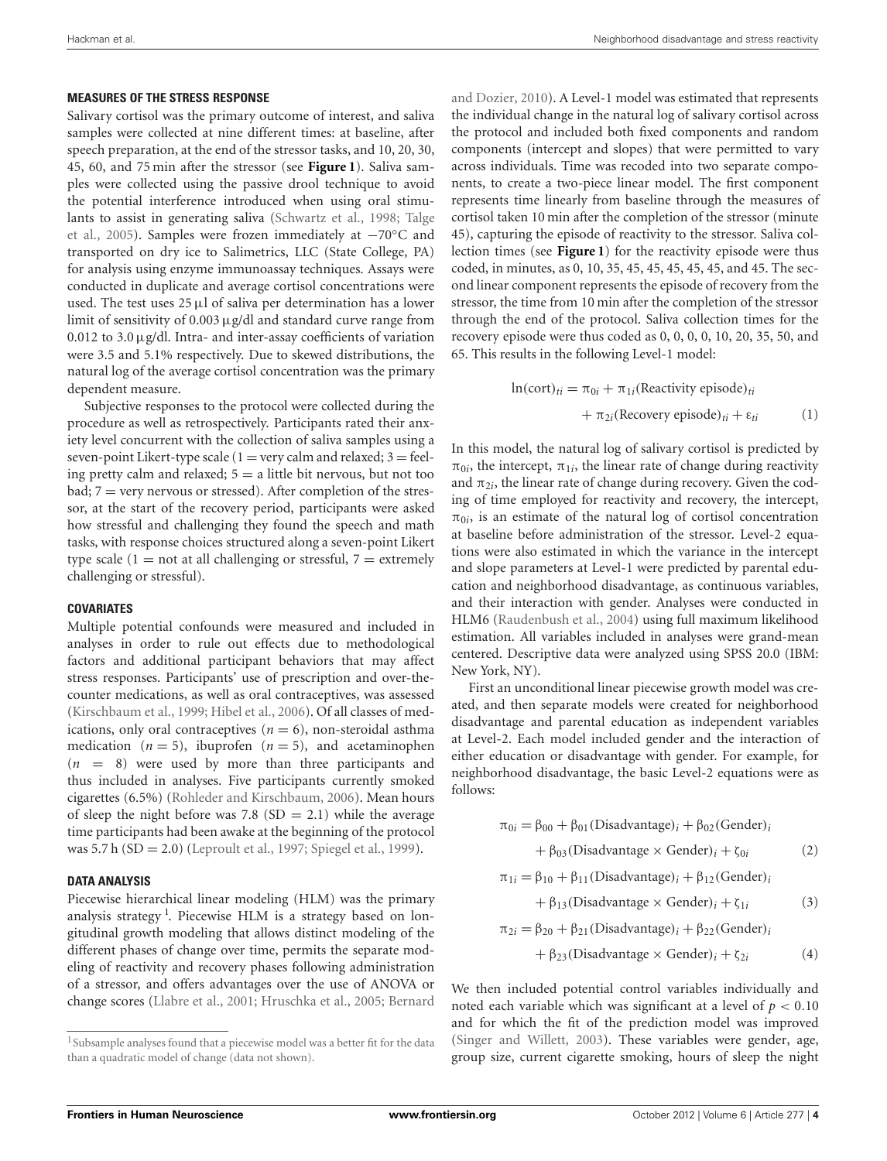#### **MEASURES OF THE STRESS RESPONSE**

Salivary cortisol was the primary outcome of interest, and saliva samples were collected at nine different times: at baseline, after speech preparation, at the end of the stressor tasks, and 10, 20, 30, 45, 60, and 75 min after the stressor (see **[Figure 1](#page-2-1)**). Saliva samples were collected using the passive drool technique to avoid the potential interference introduced when using oral stimulants [to assist in generating saliva](#page-9-27) [\(Schwartz et al.](#page-9-26)[,](#page-9-27) [1998](#page-9-26)[;](#page-9-27) Talge et al., [2005](#page-9-27)). Samples were frozen immediately at −70◦C and transported on dry ice to Salimetrics, LLC (State College, PA) for analysis using enzyme immunoassay techniques. Assays were conducted in duplicate and average cortisol concentrations were used. The test uses  $25 \mu l$  of saliva per determination has a lower limit of sensitivity of 0.003 μg/dl and standard curve range from 0.012 to 3.0μg/dl. Intra- and inter-assay coefficients of variation were 3.5 and 5.1% respectively. Due to skewed distributions, the natural log of the average cortisol concentration was the primary dependent measure.

Subjective responses to the protocol were collected during the procedure as well as retrospectively. Participants rated their anxiety level concurrent with the collection of saliva samples using a seven-point Likert-type scale ( $1 =$  very calm and relaxed;  $3 =$  feeling pretty calm and relaxed;  $5 = a$  little bit nervous, but not too bad;  $7 =$  very nervous or stressed). After completion of the stressor, at the start of the recovery period, participants were asked how stressful and challenging they found the speech and math tasks, with response choices structured along a seven-point Likert type scale ( $1 = not$  at all challenging or stressful,  $7 =$  extremely challenging or stressful).

## **COVARIATES**

Multiple potential confounds were measured and included in analyses in order to rule out effects due to methodological factors and additional participant behaviors that may affect stress responses. Participants' use of prescription and over-thecounter medications, as well as oral contraceptives, was assessed [\(Kirschbaum et al., 1999](#page-9-28); [Hibel et al.](#page-9-29), [2006\)](#page-9-29). Of all classes of medications, only oral contraceptives  $(n = 6)$ , non-steroidal asthma medication  $(n = 5)$ , ibuprofen  $(n = 5)$ , and acetaminophen (*n* = 8) were used by more than three participants and thus included in analyses. Five participants currently smoked cigarettes (6.5%) [\(Rohleder and Kirschbaum](#page-9-30), [2006\)](#page-9-30). Mean hours of sleep the night before was 7.8 (SD = 2.1) while the average time participants had been awake at the beginning of the protocol was 5.7 h (SD = 2.0) [\(Leproult et al., 1997](#page-9-31); [Spiegel et al., 1999\)](#page-9-32).

## **DATA ANALYSIS**

<span id="page-3-0"></span>Piecewise hierarchical linear modeling (HLM) was the primary analysis strategy<sup>[1](#page-3-0)</sup>. Piecewise HLM is a strategy based on longitudinal growth modeling that allows distinct modeling of the different phases of change over time, permits the separate modeling of reactivity and recovery phases following administration of a stressor, and offers advantages over the use of ANOVA or change scores [\(Llabre et al., 2001;](#page-9-33) [Hruschka et al.](#page-9-34), [2005](#page-9-34); Bernard

and Dozier, [2010\)](#page-8-33). A Level-1 model was estimated that represents the individual change in the natural log of salivary cortisol across the protocol and included both fixed components and random components (intercept and slopes) that were permitted to vary across individuals. Time was recoded into two separate components, to create a two-piece linear model. The first component represents time linearly from baseline through the measures of cortisol taken 10 min after the completion of the stressor (minute 45), capturing the episode of reactivity to the stressor. Saliva collection times (see **[Figure 1](#page-2-1)**) for the reactivity episode were thus coded, in minutes, as 0, 10, 35, 45, 45, 45, 45, 45, and 45. The second linear component represents the episode of recovery from the stressor, the time from 10 min after the completion of the stressor through the end of the protocol. Saliva collection times for the recovery episode were thus coded as 0, 0, 0, 0, 10, 20, 35, 50, and 65. This results in the following Level-1 model:

$$
\ln(\text{cort})_{ti} = \pi_{0i} + \pi_{1i}(\text{Reactivity episode})_{ti} + \pi_{2i}(\text{Recovery episode})_{ti} + \varepsilon_{ti}
$$
 (1)

In this model, the natural log of salivary cortisol is predicted by  $\pi_{0i}$ , the intercept,  $\pi_{1i}$ , the linear rate of change during reactivity and  $\pi_{2i}$ , the linear rate of change during recovery. Given the coding of time employed for reactivity and recovery, the intercept,  $\pi_{0i}$ , is an estimate of the natural log of cortisol concentration at baseline before administration of the stressor. Level-2 equations were also estimated in which the variance in the intercept and slope parameters at Level-1 were predicted by parental education and neighborhood disadvantage, as continuous variables, and their interaction with gender. Analyses were conducted in HLM6 [\(Raudenbush et al., 2004](#page-9-35)) using full maximum likelihood estimation. All variables included in analyses were grand-mean centered. Descriptive data were analyzed using SPSS 20.0 (IBM: New York, NY).

First an unconditional linear piecewise growth model was created, and then separate models were created for neighborhood disadvantage and parental education as independent variables at Level-2. Each model included gender and the interaction of either education or disadvantage with gender. For example, for neighborhood disadvantage, the basic Level-2 equations were as follows:

$$
\pi_{0i} = \beta_{00} + \beta_{01} \text{(Disadvantage)}_i + \beta_{02} \text{(Gender)}_i
$$
  
+  $\beta_{03} \text{(Disadvantage)} \times \text{Gender})_i + \zeta_{0i}$  (2)  

$$
\pi_{1i} = \beta_{10} + \beta_{11} \text{(Disadvantage)}_i + \beta_{12} \text{(Gender)}_i
$$

$$
+\beta_{13}(Disadvantage \times Gender)_i + \zeta_{1i} \tag{3}
$$

$$
\pi_{2i} = \beta_{20} + \beta_{21} (Disadvantage)_i + \beta_{22} (Gender)_i
$$
  
+  $\beta_{23}$  (Disadvantage × Gender)\_i +  $\zeta_{2i}$  (4)

We then included potential control variables individually and noted each variable which was significant at a level of  $p < 0.10$ and for which the fit of the prediction model was improved [\(Singer and Willett, 2003\)](#page-9-36). These variables were gender, age, group size, current cigarette smoking, hours of sleep the night

<sup>&</sup>lt;sup>1</sup>Subsample analyses found that a piecewise model was a better fit for the data than a quadratic model of change (data not shown).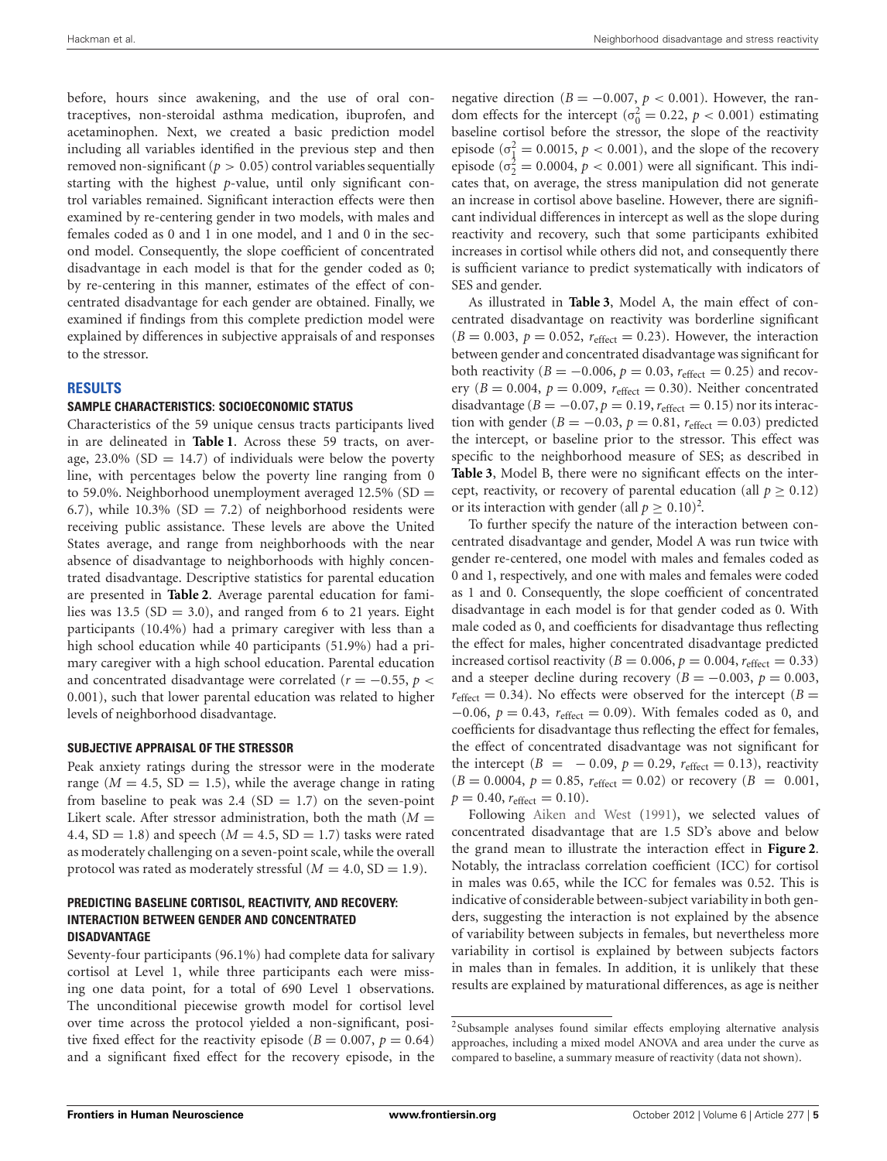before, hours since awakening, and the use of oral contraceptives, non-steroidal asthma medication, ibuprofen, and acetaminophen. Next, we created a basic prediction model including all variables identified in the previous step and then removed non-significant ( $p > 0.05$ ) control variables sequentially starting with the highest *p*-value, until only significant control variables remained. Significant interaction effects were then examined by re-centering gender in two models, with males and females coded as 0 and 1 in one model, and 1 and 0 in the second model. Consequently, the slope coefficient of concentrated disadvantage in each model is that for the gender coded as 0; by re-centering in this manner, estimates of the effect of concentrated disadvantage for each gender are obtained. Finally, we examined if findings from this complete prediction model were explained by differences in subjective appraisals of and responses to the stressor.

# **RESULTS**

## **SAMPLE CHARACTERISTICS: SOCIOECONOMIC STATUS**

Characteristics of the 59 unique census tracts participants lived in are delineated in **[Table 1](#page-2-0)**. Across these 59 tracts, on average, 23.0% (SD  $=$  14.7) of individuals were below the poverty line, with percentages below the poverty line ranging from 0 to 59.0%. Neighborhood unemployment averaged 12.5% (SD = 6.7), while 10.3% (SD = 7.2) of neighborhood residents were receiving public assistance. These levels are above the United States average, and range from neighborhoods with the near absence of disadvantage to neighborhoods with highly concentrated disadvantage. Descriptive statistics for parental education are presented in **[Table 2](#page-2-2)**. Average parental education for families was 13.5 ( $SD = 3.0$ ), and ranged from 6 to 21 years. Eight participants (10.4%) had a primary caregiver with less than a high school education while 40 participants (51.9%) had a primary caregiver with a high school education. Parental education and concentrated disadvantage were correlated ( $r = -0.55$ ,  $p <$ 0*.*001), such that lower parental education was related to higher levels of neighborhood disadvantage.

#### **SUBJECTIVE APPRAISAL OF THE STRESSOR**

Peak anxiety ratings during the stressor were in the moderate range ( $M = 4.5$ , SD = 1.5), while the average change in rating from baseline to peak was 2.4 (SD = 1.7) on the seven-point Likert scale. After stressor administration, both the math  $(M =$ 4.4,  $SD = 1.8$ ) and speech ( $M = 4.5$ ,  $SD = 1.7$ ) tasks were rated as moderately challenging on a seven-point scale, while the overall protocol was rated as moderately stressful  $(M = 4.0, SD = 1.9)$ .

## **PREDICTING BASELINE CORTISOL, REACTIVITY, AND RECOVERY: INTERACTION BETWEEN GENDER AND CONCENTRATED DISADVANTAGE**

Seventy-four participants (96.1%) had complete data for salivary cortisol at Level 1, while three participants each were missing one data point, for a total of 690 Level 1 observations. The unconditional piecewise growth model for cortisol level over time across the protocol yielded a non-significant, positive fixed effect for the reactivity episode ( $B = 0.007$ ,  $p = 0.64$ ) and a significant fixed effect for the recovery episode, in the

negative direction ( $B = -0.007$ ,  $p < 0.001$ ). However, the random effects for the intercept ( $\sigma_0^2 = 0.22$ ,  $p < 0.001$ ) estimating baseline cortisol before the stressor, the slope of the reactivity episode ( $\sigma_{\frac{1}{2}}^2 = 0.0015$ ,  $p < 0.001$ ), and the slope of the recovery episode ( $\sigma_2^2 = 0.0004$ ,  $p < 0.001$ ) were all significant. This indicates that, on average, the stress manipulation did not generate an increase in cortisol above baseline. However, there are significant individual differences in intercept as well as the slope during reactivity and recovery, such that some participants exhibited increases in cortisol while others did not, and consequently there is sufficient variance to predict systematically with indicators of SES and gender.

As illustrated in **[Table 3](#page-5-0)**, Model A, the main effect of concentrated disadvantage on reactivity was borderline significant  $(B = 0.003, p = 0.052, r_{effect} = 0.23)$ . However, the interaction between gender and concentrated disadvantage was significant for both reactivity ( $B = -0.006$ ,  $p = 0.03$ ,  $r_{effect} = 0.25$ ) and recovery ( $B = 0.004$ ,  $p = 0.009$ ,  $r_{effect} = 0.30$ ). Neither concentrated disadvantage ( $B = -0.07$ ,  $p = 0.19$ ,  $r_{effect} = 0.15$ ) nor its interaction with gender ( $B = -0.03$ ,  $p = 0.81$ ,  $r_{effect} = 0.03$ ) predicted the intercept, or baseline prior to the stressor. This effect was specific to the neighborhood measure of SES; as described in **[Table 3](#page-5-0)**, Model B, there were no significant effects on the intercept, reactivity, or recovery of parental education (all  $p \geq 0.12$ ) or its interaction with gender (all  $p \ge 0.10$ )<sup>[2](#page-4-0)</sup>.

<span id="page-4-0"></span>To further specify the nature of the interaction between concentrated disadvantage and gender, Model A was run twice with gender re-centered, one model with males and females coded as 0 and 1, respectively, and one with males and females were coded as 1 and 0. Consequently, the slope coefficient of concentrated disadvantage in each model is for that gender coded as 0. With male coded as 0, and coefficients for disadvantage thus reflecting the effect for males, higher concentrated disadvantage predicted increased cortisol reactivity ( $B = 0.006$ ,  $p = 0.004$ ,  $r_{\text{effect}} = 0.33$ ) and a steeper decline during recovery ( $B = -0.003$ ,  $p = 0.003$ ,  $r_{\text{effect}} = 0.34$ ). No effects were observed for the intercept (*B* = −0*.*06, *p* = 0*.*43, *r*effect = 0*.*09). With females coded as 0, and coefficients for disadvantage thus reflecting the effect for females, the effect of concentrated disadvantage was not significant for the intercept ( $B = -0.09$ ,  $p = 0.29$ ,  $r_{effect} = 0.13$ ), reactivity  $(B = 0.0004, p = 0.85, r_{effect} = 0.02)$  or recovery  $(B = 0.001,$  $p = 0.40$ ,  $r_{\text{effect}} = 0.10$ ).

Following [Aiken and West](#page-8-34) [\(1991](#page-8-34)), we selected values of concentrated disadvantage that are 1.5 SD's above and below the grand mean to illustrate the interaction effect in **[Figure 2](#page-6-0)**. Notably, the intraclass correlation coefficient (ICC) for cortisol in males was 0.65, while the ICC for females was 0.52. This is indicative of considerable between-subject variability in both genders, suggesting the interaction is not explained by the absence of variability between subjects in females, but nevertheless more variability in cortisol is explained by between subjects factors in males than in females. In addition, it is unlikely that these results are explained by maturational differences, as age is neither

<sup>&</sup>lt;sup>2</sup>Subsample analyses found similar effects employing alternative analysis approaches, including a mixed model ANOVA and area under the curve as compared to baseline, a summary measure of reactivity (data not shown).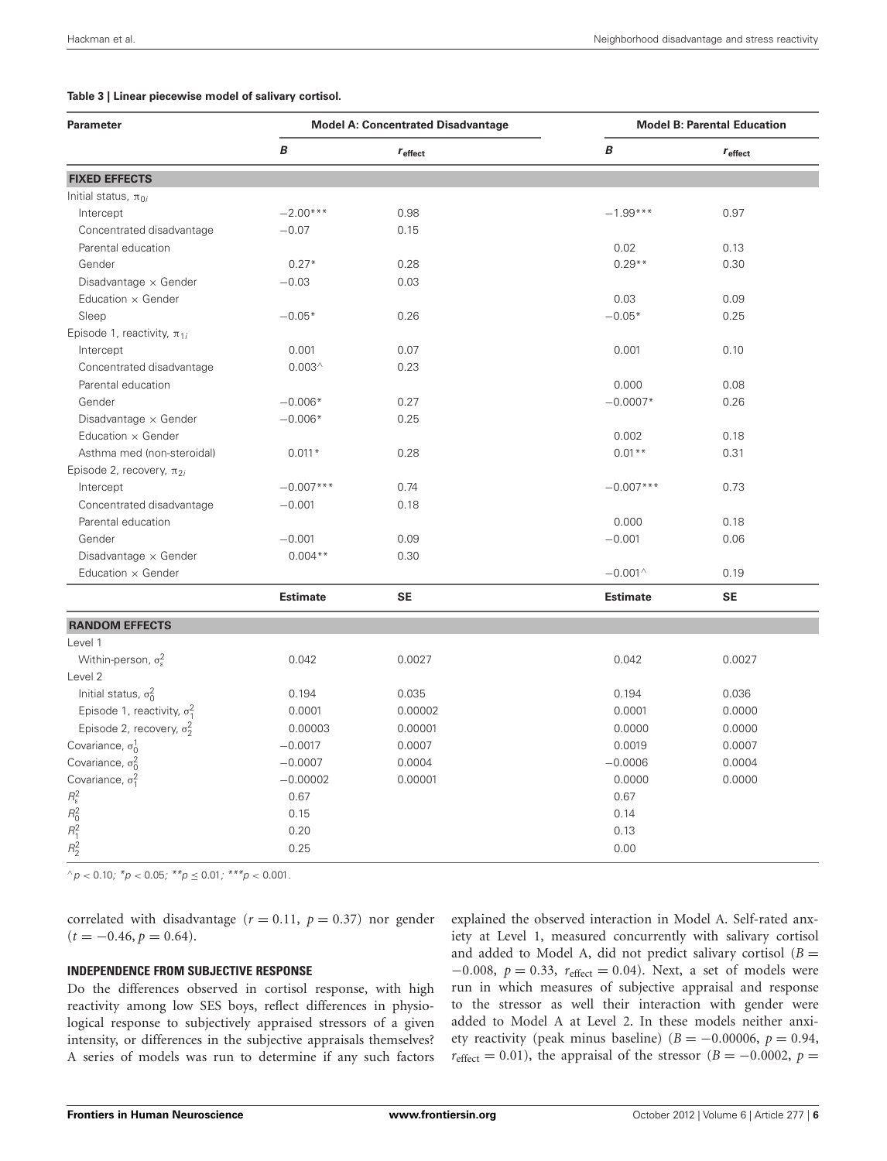#### <span id="page-5-0"></span>**Table 3 | Linear piecewise model of salivary cortisol.**

| <b>Parameter</b>                                        |                 | <b>Model A: Concentrated Disadvantage</b> | <b>Model B: Parental Education</b> |                     |
|---------------------------------------------------------|-----------------|-------------------------------------------|------------------------------------|---------------------|
|                                                         | B               | $r_{\text{effect}}$                       | B                                  | $r_{\text{effect}}$ |
| <b>FIXED EFFECTS</b>                                    |                 |                                           |                                    |                     |
| Initial status, $\pi_{0i}$                              |                 |                                           |                                    |                     |
| Intercept                                               | $-2.00***$      | 0.98                                      | $-1.99***$                         | 0.97                |
| Concentrated disadvantage                               | $-0.07$         | 0.15                                      |                                    |                     |
| Parental education                                      |                 |                                           | 0.02                               | 0.13                |
| Gender                                                  | $0.27*$         | 0.28                                      | $0.29**$                           | 0.30                |
| Disadvantage × Gender                                   | $-0.03$         | 0.03                                      |                                    |                     |
| Education x Gender                                      |                 |                                           | 0.03                               | 0.09                |
| Sleep                                                   | $-0.05*$        | 0.26                                      | $-0.05*$                           | 0.25                |
| Episode 1, reactivity, $\pi_{1i}$                       |                 |                                           |                                    |                     |
| Intercept                                               | 0.001           | 0.07                                      | 0.001                              | 0.10                |
| Concentrated disadvantage                               | $0.003^$        | 0.23                                      |                                    |                     |
| Parental education                                      |                 |                                           | 0.000                              | 0.08                |
| Gender                                                  | $-0.006*$       | 0.27                                      | $-0.0007*$                         | 0.26                |
| Disadvantage $\times$ Gender                            | $-0.006*$       | 0.25                                      |                                    |                     |
| Education $\times$ Gender                               |                 |                                           | 0.002                              | 0.18                |
| Asthma med (non-steroidal)                              | $0.011*$        | 0.28                                      | $0.01**$                           | 0.31                |
| Episode 2, recovery, $\pi_{2i}$                         |                 |                                           |                                    |                     |
| Intercept                                               | $-0.007***$     | 0.74                                      | $-0.007***$                        | 0.73                |
| Concentrated disadvantage                               | $-0.001$        | 0.18                                      |                                    |                     |
| Parental education                                      |                 |                                           | 0.000                              | 0.18                |
| Gender                                                  | $-0.001$        | 0.09                                      | $-0.001$                           | 0.06                |
| Disadvantage × Gender                                   | $0.004**$       | 0.30                                      |                                    |                     |
| Education $\times$ Gender                               |                 |                                           | $-0.001^{\wedge}$                  | 0.19                |
|                                                         | <b>Estimate</b> | <b>SE</b>                                 | <b>Estimate</b>                    | <b>SE</b>           |
| <b>RANDOM EFFECTS</b>                                   |                 |                                           |                                    |                     |
| Level 1                                                 |                 |                                           |                                    |                     |
| Within-person, $\sigma_{\varepsilon}^2$                 | 0.042           | 0.0027                                    | 0.042                              | 0.0027              |
| Level 2                                                 |                 |                                           |                                    |                     |
| Initial status, $\sigma_0^2$                            | 0.194           | 0.035                                     | 0.194                              | 0.036               |
| Episode 1, reactivity, $\sigma_1^2$                     | 0.0001          | 0.00002                                   | 0.0001                             | 0.0000              |
| Episode 2, recovery, $\sigma_2^2$                       | 0.00003         | 0.00001                                   | 0.0000                             | 0.0000              |
| Covariance, $\sigma_0^1$                                | $-0.0017$       | 0.0007                                    | 0.0019                             | 0.0007              |
| Covariance, $\sigma_0^2$                                | $-0.0007$       | 0.0004                                    | $-0.0006$                          | 0.0004              |
| Covariance, $\sigma_1^2$                                | $-0.00002$      | 0.00001                                   | 0.0000                             | 0.0000              |
|                                                         | 0.67            |                                           | 0.67                               |                     |
|                                                         | 0.15            |                                           | 0.14                               |                     |
| $R_{\epsilon}^2$<br>$R_{0}^2$<br>$R_{1}^2$<br>$R_{2}^2$ | 0.20            |                                           | 0.13                               |                     |
|                                                         | 0.25            |                                           | 0.00                               |                     |
|                                                         |                 |                                           |                                    |                     |

 $\alpha$ *p* < 0.10*;*  $^*p$  < 0.05*;*  $^{**}p$  ≤ 0.01*;*  $^{***}p$  < 0.001*.* 

correlated with disadvantage ( $r = 0.11$ ,  $p = 0.37$ ) nor gender  $(t = -0.46, p = 0.64).$ 

## **INDEPENDENCE FROM SUBJECTIVE RESPONSE**

Do the differences observed in cortisol response, with high reactivity among low SES boys, reflect differences in physiological response to subjectively appraised stressors of a given intensity, or differences in the subjective appraisals themselves? A series of models was run to determine if any such factors explained the observed interaction in Model A. Self-rated anxiety at Level 1, measured concurrently with salivary cortisol and added to Model A, did not predict salivary cortisol  $(B =$ −0*.*008, *p* = 0*.*33, *r*effect = 0*.*04). Next, a set of models were run in which measures of subjective appraisal and response to the stressor as well their interaction with gender were added to Model A at Level 2. In these models neither anxiety reactivity (peak minus baseline) ( $B = -0.00006$ ,  $p = 0.94$ ,  $r_{\text{effect}} = 0.01$ ), the appraisal of the stressor (*B* = −0.0002, *p* =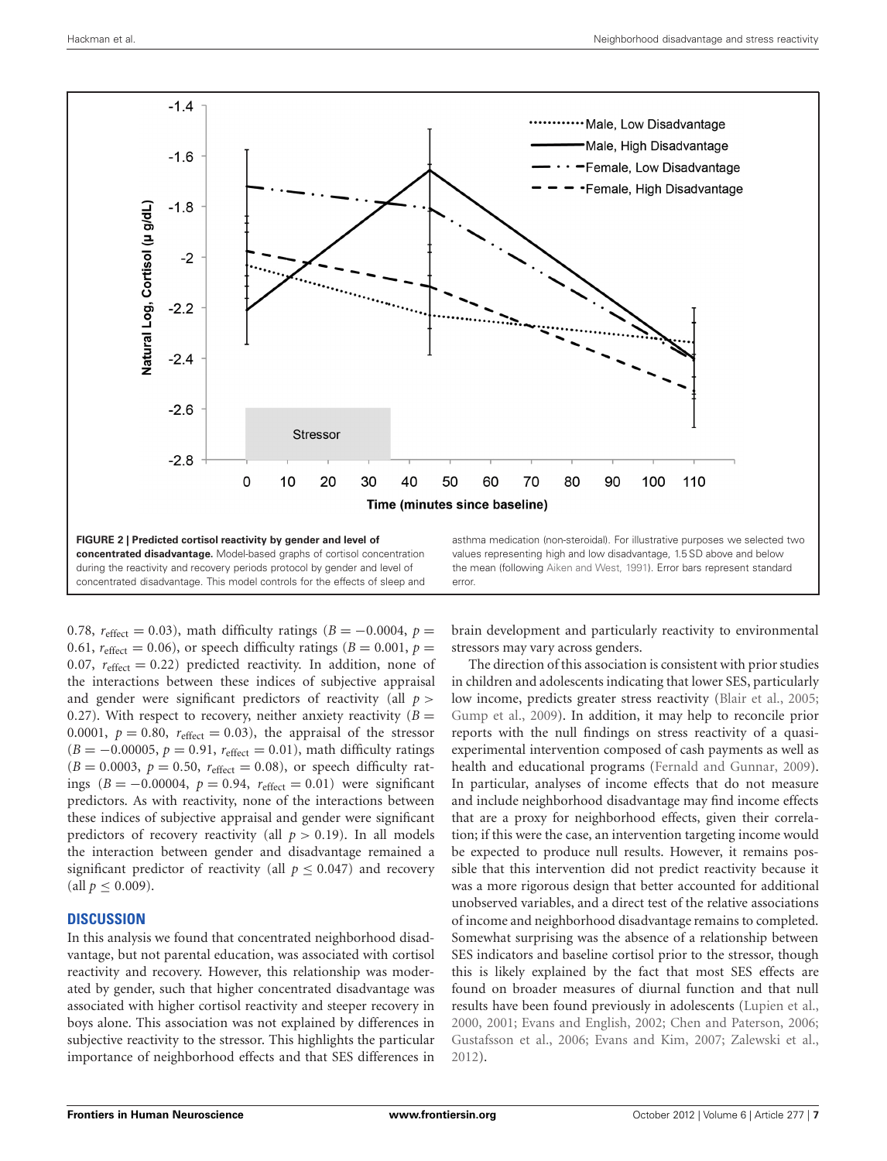

<span id="page-6-0"></span>0.78,  $r_{\text{effect}} = 0.03$ ), math difficulty ratings ( $B = -0.0004$ ,  $p =$ 0.61,  $r_{\text{effect}} = 0.06$ ), or speech difficulty ratings ( $B = 0.001$ ,  $p =$ 0.07,  $r_{\text{effect}} = 0.22$ ) predicted reactivity. In addition, none of the interactions between these indices of subjective appraisal and gender were significant predictors of reactivity (all *p >* 0.27). With respect to recovery, neither anxiety reactivity  $(B =$ 0.0001,  $p = 0.80$ ,  $r_{effect} = 0.03$ ), the appraisal of the stressor  $(B = -0.00005, p = 0.91, r_{effect} = 0.01$ , math difficulty ratings  $(B = 0.0003, p = 0.50, r_{effect} = 0.08)$ , or speech difficulty ratings (*B* = −0*.*00004, *p* = 0*.*94, *r*effect = 0*.*01) were significant predictors. As with reactivity, none of the interactions between these indices of subjective appraisal and gender were significant predictors of recovery reactivity (all  $p > 0.19$ ). In all models the interaction between gender and disadvantage remained a significant predictor of reactivity (all  $p \le 0.047$ ) and recovery  $\text{(all } p \leq 0.009\text{).}$ 

# **DISCUSSION**

In this analysis we found that concentrated neighborhood disadvantage, but not parental education, was associated with cortisol reactivity and recovery. However, this relationship was moderated by gender, such that higher concentrated disadvantage was associated with higher cortisol reactivity and steeper recovery in boys alone. This association was not explained by differences in subjective reactivity to the stressor. This highlights the particular importance of neighborhood effects and that SES differences in

brain development and particularly reactivity to environmental stressors may vary across genders.

The direction of this association is consistent with prior studies in children and adolescents indicating that lower SES, particularly low income, predicts greater stress reactivity [\(Blair et al., 2005;](#page-8-23) [Gump et al.](#page-8-24), [2009](#page-8-24)). In addition, it may help to reconcile prior reports with the null findings on stress reactivity of a quasiexperimental intervention composed of cash payments as well as health and educational programs [\(Fernald and Gunnar](#page-8-25), [2009](#page-8-25)). In particular, analyses of income effects that do not measure and include neighborhood disadvantage may find income effects that are a proxy for neighborhood effects, given their correlation; if this were the case, an intervention targeting income would be expected to produce null results. However, it remains possible that this intervention did not predict reactivity because it was a more rigorous design that better accounted for additional unobserved variables, and a direct test of the relative associations of income and neighborhood disadvantage remains to completed. Somewhat surprising was the absence of a relationship between SES indicators and baseline cortisol prior to the stressor, though this is likely explained by the fact that most SES effects are found on broader measures of diurnal function and that null results have been found previously in adolescents [\(Lupien et al.,](#page-9-6) [2000](#page-9-6), [2001;](#page-9-7) [Evans and English](#page-8-17), [2002;](#page-8-17) [Chen and Paterson, 2006;](#page-8-18) [Gustafsson et al., 2006](#page-8-19); [Evans and Kim](#page-8-20), [2007](#page-8-20); [Zalewski et al.,](#page-10-1) [2012](#page-10-1)).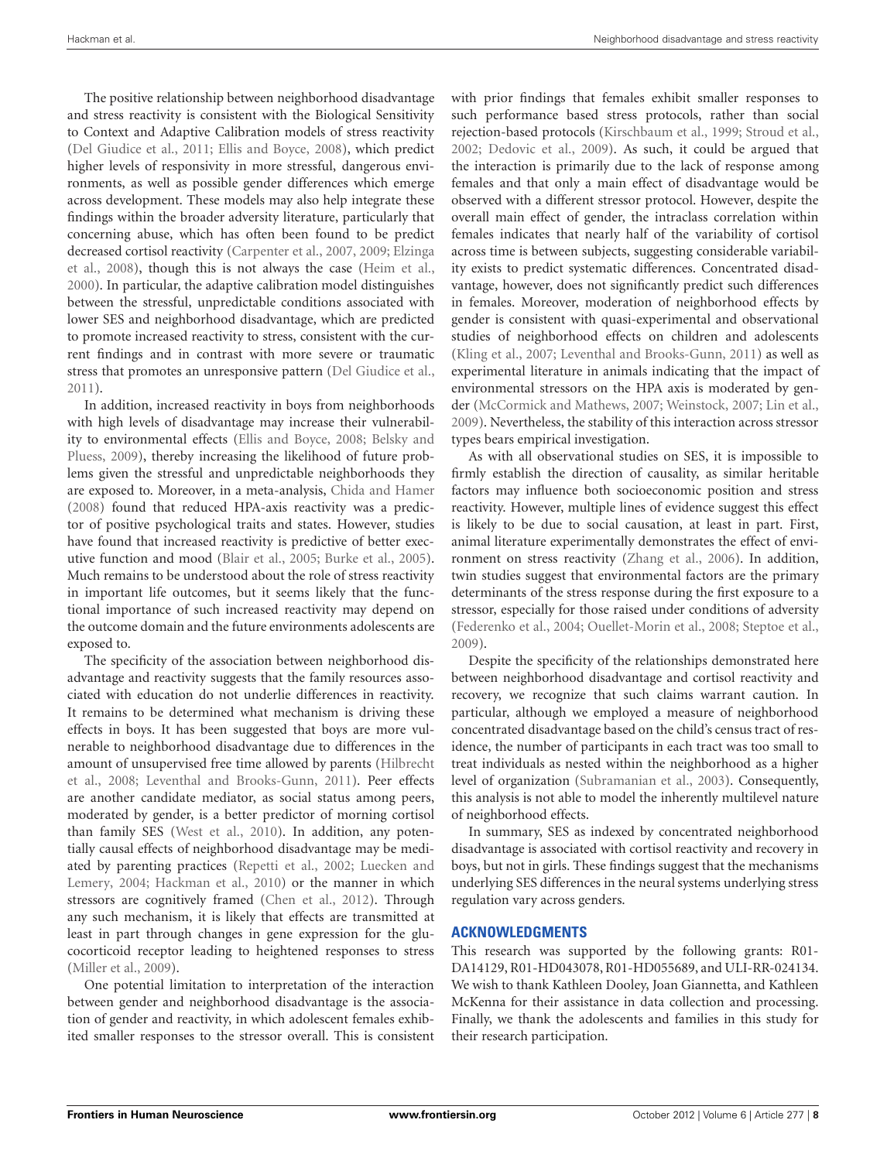The positive relationship between neighborhood disadvantage and stress reactivity is consistent with the Biological Sensitivity to Context and Adaptive Calibration models of stress reactivity [\(Del Giudice et al.](#page-8-35), [2011;](#page-8-35) [Ellis and Boyce, 2008\)](#page-8-36), which predict higher levels of responsivity in more stressful, dangerous environments, as well as possible gender differences which emerge across development. These models may also help integrate these findings within the broader adversity literature, particularly that concerning abuse, which has often been found to be predict decr[eased cortisol reactivity](#page-8-39) [\(Carpenter et al.](#page-8-37)[,](#page-8-39) [2007](#page-8-37)[,](#page-8-39) [2009;](#page-8-38) Elzinga et al., [2008\)](#page-8-39), though this is not always the case [\(Heim et al.,](#page-8-40) [2000](#page-8-40)). In particular, the adaptive calibration model distinguishes between the stressful, unpredictable conditions associated with lower SES and neighborhood disadvantage, which are predicted to promote increased reactivity to stress, consistent with the current findings and in contrast with more severe or traumatic stress that promotes an unresponsive pattern [\(Del Giudice et al.,](#page-8-35) [2011](#page-8-35)).

In addition, increased reactivity in boys from neighborhoods with high levels of disadvantage may increase their vulnerability to [environmental effects](#page-8-41) [\(Ellis and Boyce, 2008](#page-8-36)[;](#page-8-41) Belsky and Pluess, [2009\)](#page-8-41), thereby increasing the likelihood of future problems given the stressful and unpredictable neighborhoods they are exposed to. Moreover, in a meta-analysis, [Chida and Hamer](#page-8-42) [\(2008\)](#page-8-42) found that reduced HPA-axis reactivity was a predictor of positive psychological traits and states. However, studies have found that increased reactivity is predictive of better executive function and mood [\(Blair et al.](#page-8-23), [2005;](#page-8-23) [Burke et al.](#page-8-43), [2005](#page-8-43)). Much remains to be understood about the role of stress reactivity in important life outcomes, but it seems likely that the functional importance of such increased reactivity may depend on the outcome domain and the future environments adolescents are exposed to.

The specificity of the association between neighborhood disadvantage and reactivity suggests that the family resources associated with education do not underlie differences in reactivity. It remains to be determined what mechanism is driving these effects in boys. It has been suggested that boys are more vulnerable to neighborhood disadvantage due to differences in the amo[unt of unsupervised free time allowed by parents \(](#page-9-37)Hilbrecht et al., [2008;](#page-9-37) [Leventhal and Brooks-Gunn](#page-9-20), [2011](#page-9-20)). Peer effects are another candidate mediator, as social status among peers, moderated by gender, is a better predictor of morning cortisol than family SES [\(West et al.](#page-10-3), [2010](#page-10-3)). In addition, any potentially causal effects of neighborhood disadvantage may be mediated b[y parenting practices](#page-9-39) [\(Repetti et al.](#page-9-38)[,](#page-9-39) [2002;](#page-9-38) Luecken and Lemery, [2004](#page-9-39); [Hackman et al.](#page-8-9), [2010\)](#page-8-9) or the manner in which stressors are cognitively framed [\(Chen et al.](#page-8-44), [2012\)](#page-8-44). Through any such mechanism, it is likely that effects are transmitted at least in part through changes in gene expression for the glucocorticoid receptor leading to heightened responses to stress [\(Miller et al.](#page-9-40), [2009\)](#page-9-40).

One potential limitation to interpretation of the interaction between gender and neighborhood disadvantage is the association of gender and reactivity, in which adolescent females exhibited smaller responses to the stressor overall. This is consistent with prior findings that females exhibit smaller responses to such performance based stress protocols, rather than social rejection-based protocols [\(Kirschbaum et al., 1999;](#page-9-28) [Stroud et al.,](#page-9-41) [2002](#page-9-41); [Dedovic et al., 2009](#page-8-45)). As such, it could be argued that the interaction is primarily due to the lack of response among females and that only a main effect of disadvantage would be observed with a different stressor protocol. However, despite the overall main effect of gender, the intraclass correlation within females indicates that nearly half of the variability of cortisol across time is between subjects, suggesting considerable variability exists to predict systematic differences. Concentrated disadvantage, however, does not significantly predict such differences in females. Moreover, moderation of neighborhood effects by gender is consistent with quasi-experimental and observational studies of neighborhood effects on children and adolescents [\(Kling et al.](#page-9-17), [2007](#page-9-17); [Leventhal and Brooks-Gunn](#page-9-20), [2011](#page-9-20)) as well as experimental literature in animals indicating that the impact of environmental stressors on the HPA axis is moderated by gender [\(McCormick and Mathews](#page-9-18), [2007;](#page-9-18) [Weinstock, 2007;](#page-10-2) [Lin et al.,](#page-9-19) [2009](#page-9-19)). Nevertheless, the stability of this interaction across stressor types bears empirical investigation.

As with all observational studies on SES, it is impossible to firmly establish the direction of causality, as similar heritable factors may influence both socioeconomic position and stress reactivity. However, multiple lines of evidence suggest this effect is likely to be due to social causation, at least in part. First, animal literature experimentally demonstrates the effect of environment on stress reactivity [\(Zhang et al.](#page-10-4), [2006](#page-10-4)). In addition, twin studies suggest that environmental factors are the primary determinants of the stress response during the first exposure to a stressor, especially for those raised under conditions of adversity [\(Federenko et al., 2004;](#page-8-46) [Ouellet-Morin et al.](#page-9-42), [2008;](#page-9-42) [Steptoe et al.,](#page-9-43) [2009](#page-9-43)).

Despite the specificity of the relationships demonstrated here between neighborhood disadvantage and cortisol reactivity and recovery, we recognize that such claims warrant caution. In particular, although we employed a measure of neighborhood concentrated disadvantage based on the child's census tract of residence, the number of participants in each tract was too small to treat individuals as nested within the neighborhood as a higher level of organization [\(Subramanian et al., 2003\)](#page-9-44). Consequently, this analysis is not able to model the inherently multilevel nature of neighborhood effects.

In summary, SES as indexed by concentrated neighborhood disadvantage is associated with cortisol reactivity and recovery in boys, but not in girls. These findings suggest that the mechanisms underlying SES differences in the neural systems underlying stress regulation vary across genders.

## **ACKNOWLEDGMENTS**

This research was supported by the following grants: R01- DA14129, R01-HD043078, R01-HD055689, and ULI-RR-024134. We wish to thank Kathleen Dooley, Joan Giannetta, and Kathleen McKenna for their assistance in data collection and processing. Finally, we thank the adolescents and families in this study for their research participation.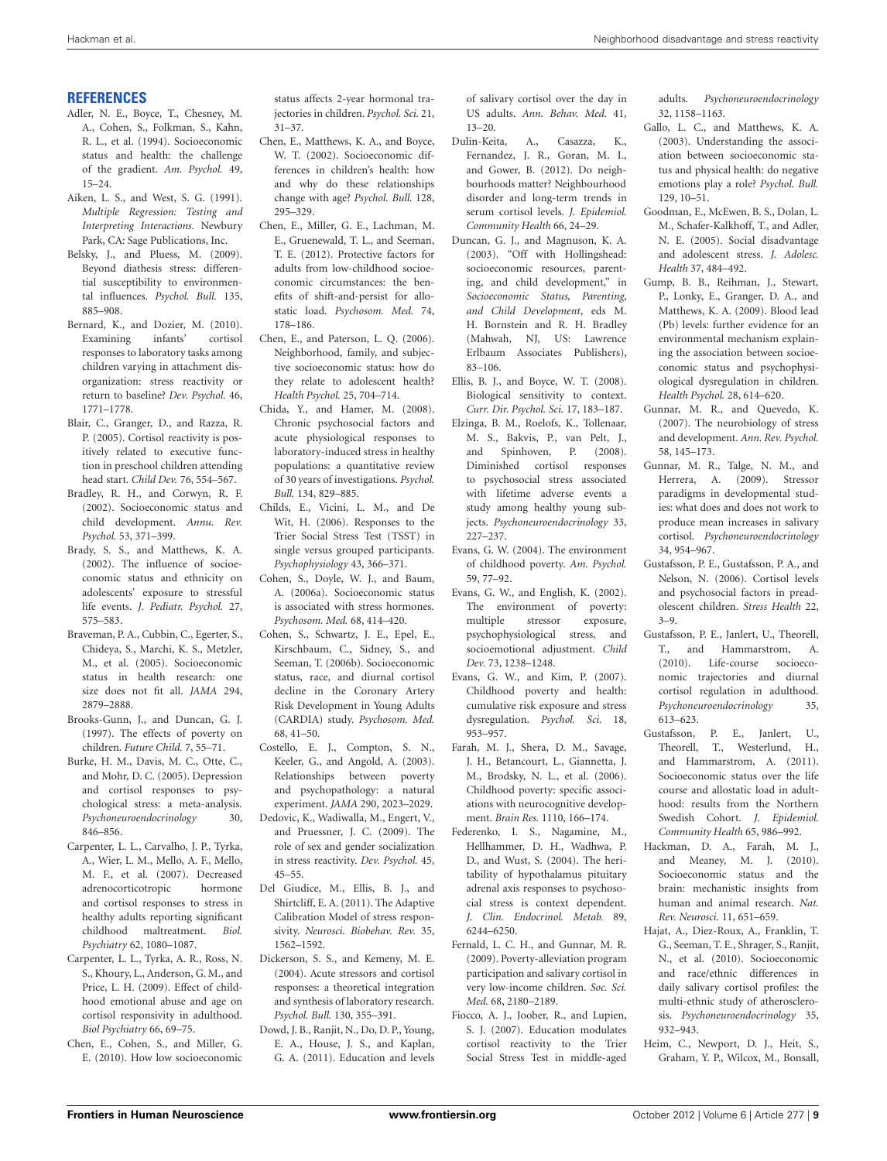## **REFERENCES**

- <span id="page-8-0"></span>Adler, N. E., Boyce, T., Chesney, M. A., Cohen, S., Folkman, S., Kahn, R. L., et al. (1994). Socioeconomic status and health: the challenge of the gradient. *Am. Psychol.* 49, 15–24.
- <span id="page-8-34"></span>Aiken, L. S., and West, S. G. (1991). *Multiple Regression: Testing and Interpreting Interactions.* Newbury Park, CA: Sage Publications, Inc.
- <span id="page-8-41"></span>Belsky, J., and Pluess, M. (2009). Beyond diathesis stress: differential susceptibility to environmental influences. *Psychol. Bull.* 135, 885–908.
- <span id="page-8-33"></span>Bernard, K., and Dozier, M. (2010). Examining infants' cortisol responses to laboratory tasks among children varying in attachment disorganization: stress reactivity or return to baseline? *Dev. Psychol.* 46, 1771–1778.
- <span id="page-8-23"></span>Blair, C., Granger, D., and Razza, R. P. (2005). Cortisol reactivity is positively related to executive function in preschool children attending head start. *Child Dev.* 76, 554–567.
- <span id="page-8-2"></span>Bradley, R. H., and Corwyn, R. F. (2002). Socioeconomic status and child development. *Annu. Rev. Psychol.* 53, 371–399.
- <span id="page-8-5"></span>Brady, S. S., and Matthews, K. A. (2002). The influence of socioeconomic status and ethnicity on adolescents' exposure to stressful life events. *J. Pediatr. Psychol.* 27, 575–583.
- <span id="page-8-29"></span>Braveman, P. A., Cubbin, C., Egerter, S., Chideya, S., Marchi, K. S., Metzler, M., et al. (2005). Socioeconomic status in health research: one size does not fit all. *JAMA* 294, 2879–2888.
- <span id="page-8-1"></span>Brooks-Gunn, J., and Duncan, G. J. (1997). The effects of poverty on children. *Future Child.* 7, 55–71.
- <span id="page-8-43"></span>Burke, H. M., Davis, M. C., Otte, C., and Mohr, D. C. (2005). Depression and cortisol responses to psychological stress: a meta-analysis. *Psychoneuroendocrinology* 30, 846–856.
- <span id="page-8-37"></span>Carpenter, L. L., Carvalho, J. P., Tyrka, A., Wier, L. M., Mello, A. F., Mello, M. F., et al. (2007). Decreased adrenocorticotropic hormone and cortisol responses to stress in healthy adults reporting significant childhood maltreatment. *Biol. Psychiatry* 62, 1080–1087.
- <span id="page-8-38"></span>Carpenter, L. L., Tyrka, A. R., Ross, N. S., Khoury, L., Anderson, G. M., and Price, L. H. (2009). Effect of childhood emotional abuse and age on cortisol responsivity in adulthood. *Biol Psychiatry* 66, 69–75.
- <span id="page-8-21"></span>Chen, E., Cohen, S., and Miller, G. E. (2010). How low socioeconomic

status affects 2-year hormonal trajectories in children. *Psychol. Sci.* 21, 31–37.

- <span id="page-8-3"></span>Chen, E., Matthews, K. A., and Boyce, W. T. (2002). Socioeconomic differences in children's health: how and why do these relationships change with age? *Psychol. Bull.* 128, 295–329.
- <span id="page-8-44"></span>Chen, E., Miller, G. E., Lachman, M. E., Gruenewald, T. L., and Seeman, T. E. (2012). Protective factors for adults from low-childhood socioeconomic circumstances: the benefits of shift-and-persist for allostatic load. *Psychosom. Med.* 74, 178–186.
- <span id="page-8-18"></span>Chen, E., and Paterson, L. Q. (2006). Neighborhood, family, and subjective socioeconomic status: how do they relate to adolescent health? *Health Psychol.* 25, 704–714.
- <span id="page-8-42"></span>Chida, Y., and Hamer, M. (2008). Chronic psychosocial factors and acute physiological responses to laboratory-induced stress in healthy populations: a quantitative review of 30 years of investigations. *Psychol. Bull.* 134, 829–885.
- <span id="page-8-31"></span>Childs, E., Vicini, L. M., and De Wit, H. (2006). Responses to the Trier Social Stress Test (TSST) in single versus grouped participants. *Psychophysiology* 43, 366–371.
- <span id="page-8-11"></span>Cohen, S., Doyle, W. J., and Baum, A. (2006a). Socioeconomic status is associated with stress hormones. *Psychosom. Med.* 68, 414–420.
- <span id="page-8-12"></span>Cohen, S., Schwartz, J. E., Epel, E., Kirschbaum, C., Sidney, S., and Seeman, T. (2006b). Socioeconomic status, race, and diurnal cortisol decline in the Coronary Artery Risk Development in Young Adults (CARDIA) study. *Psychosom. Med.* 68, 41–50.
- <span id="page-8-4"></span>Costello, E. J., Compton, S. N., Keeler, G., and Angold, A. (2003). Relationships between poverty and psychopathology: a natural experiment. *JAMA* 290, 2023–2029.
- <span id="page-8-45"></span>Dedovic, K., Wadiwalla, M., Engert, V., and Pruessner, J. C. (2009). The role of sex and gender socialization in stress reactivity. *Dev. Psychol.* 45, 45–55.
- <span id="page-8-35"></span>Del Giudice, M., Ellis, B. J., and Shirtcliff, E. A. (2011). The Adaptive Calibration Model of stress responsivity. *Neurosci. Biobehav. Rev.* 35, 1562–1592.
- <span id="page-8-26"></span>Dickerson, S. S., and Kemeny, M. E. (2004). Acute stressors and cortisol responses: a theoretical integration and synthesis of laboratory research. *Psychol. Bull.* 130, 355–391.
- <span id="page-8-16"></span>Dowd, J. B., Ranjit, N., Do, D. P., Young, E. A., House, J. S., and Kaplan, G. A. (2011). Education and levels

of salivary cortisol over the day in US adults. *Ann. Behav. Med.* 41, 13–20.

- <span id="page-8-30"></span>Dulin-Keita, A., Casazza, K., Fernandez, J. R., Goran, M. I., and Gower, B. (2012). Do neighbourhoods matter? Neighbourhood disorder and long-term trends in serum cortisol levels. *J. Epidemiol. Community Health* 66, 24–29.
- <span id="page-8-28"></span>Duncan, G. J., and Magnuson, K. A. (2003). "Off with Hollingshead: socioeconomic resources, parenting, and child development," in *Socioeconomic Status, Parenting, and Child Development*, eds M. H. Bornstein and R. H. Bradley (Mahwah, NJ, US: Lawrence Erlbaum Associates Publishers), 83–106.
- <span id="page-8-36"></span>Ellis, B. J., and Boyce, W. T. (2008). Biological sensitivity to context. *Curr. Dir. Psychol. Sci.* 17, 183–187.
- <span id="page-8-39"></span>Elzinga, B. M., Roelofs, K., Tollenaar, M. S., Bakvis, P., van Pelt, J., and Spinhoven, P. (2008). Diminished cortisol responses to psychosocial stress associated with lifetime adverse events a study among healthy young subjects. *Psychoneuroendocrinology* 33, 227–237.
- <span id="page-8-6"></span>Evans, G. W. (2004). The environment of childhood poverty. *Am. Psychol.* 59, 77–92.
- <span id="page-8-17"></span>Evans, G. W., and English, K. (2002). The environment of poverty: multiple stressor exposure, psychophysiological stress, and socioemotional adjustment. *Child Dev.* 73, 1238–1248.
- <span id="page-8-20"></span>Evans, G. W., and Kim, P. (2007). Childhood poverty and health: cumulative risk exposure and stress dysregulation. *Psychol. Sci.* 18, 953–957.
- <span id="page-8-32"></span>Farah, M. J., Shera, D. M., Savage, J. H., Betancourt, L., Giannetta, J. M., Brodsky, N. L., et al. (2006). Childhood poverty: specific associations with neurocognitive development. *Brain Res.* 1110, 166–174.
- <span id="page-8-46"></span>Federenko, I. S., Nagamine, M., Hellhammer, D. H., Wadhwa, P. D., and Wust, S. (2004). The heritability of hypothalamus pituitary adrenal axis responses to psychosocial stress is context dependent. *J. Clin. Endocrinol. Metab.* 89, 6244–6250.
- <span id="page-8-25"></span>Fernald, L. C. H., and Gunnar, M. R. (2009). Poverty-alleviation program participation and salivary cortisol in very low-income children. *Soc. Sci. Med.* 68, 2180–2189.
- <span id="page-8-22"></span>Fiocco, A. J., Joober, R., and Lupien, S. J. (2007). Education modulates cortisol reactivity to the Trier Social Stress Test in middle-aged

adults. *Psychoneuroendocrinology* 32, 1158–1163.

- <span id="page-8-8"></span>Gallo, L. C., and Matthews, K. A. (2003). Understanding the association between socioeconomic status and physical health: do negative emotions play a role? *Psychol. Bull.* 129, 10–51.
- <span id="page-8-7"></span>Goodman, E., McEwen, B. S., Dolan, L. M., Schafer-Kalkhoff, T., and Adler, N. E. (2005). Social disadvantage and adolescent stress. *J. Adolesc. Health* 37, 484–492.
- <span id="page-8-24"></span>Gump, B. B., Reihman, J., Stewart, P., Lonky, E., Granger, D. A., and Matthews, K. A. (2009). Blood lead (Pb) levels: further evidence for an environmental mechanism explaining the association between socioeconomic status and psychophysiological dysregulation in children. *Health Psychol.* 28, 614–620.
- <span id="page-8-10"></span>Gunnar, M. R., and Quevedo, K. (2007). The neurobiology of stress and development. *Ann. Rev. Psychol.* 58, 145–173.
- <span id="page-8-27"></span>Gunnar, M. R., Talge, N. M., and Herrera, A. (2009). Stressor paradigms in developmental studies: what does and does not work to produce mean increases in salivary cortisol. *Psychoneuroendocrinology* 34, 954–967.
- <span id="page-8-19"></span>Gustafsson, P. E., Gustafsson, P. A., and Nelson, N. (2006). Cortisol levels and psychosocial factors in preadolescent children. *Stress Health* 22, 3–9.
- <span id="page-8-13"></span>Gustafsson, P. E., Janlert, U., Theorell, T., and Hammarstrom, A. (2010). Life-course socioeconomic trajectories and diurnal cortisol regulation in adulthood. *Psychoneuroendocrinology* 35, 613–623.
- <span id="page-8-14"></span>Gustafsson, P. E., Janlert, U., Theorell, T., Westerlund, H., and Hammarstrom, A. (2011). Socioeconomic status over the life course and allostatic load in adulthood: results from the Northern Swedish Cohort. *J. Epidemiol. Community Health* 65, 986–992.
- <span id="page-8-9"></span>Hackman, D. A., Farah, M. J., and Meaney, M. J. (2010). Socioeconomic status and the brain: mechanistic insights from human and animal research. *Nat. Rev. Neurosci.* 11, 651–659.
- <span id="page-8-15"></span>Hajat, A., Diez-Roux, A., Franklin, T. G., Seeman, T. E., Shrager, S., Ranjit, N., et al. (2010). Socioeconomic and race/ethnic differences in daily salivary cortisol profiles: the multi-ethnic study of atherosclerosis. *Psychoneuroendocrinology* 35, 932–943.
- <span id="page-8-40"></span>Heim, C., Newport, D. J., Heit, S., Graham, Y. P., Wilcox, M., Bonsall,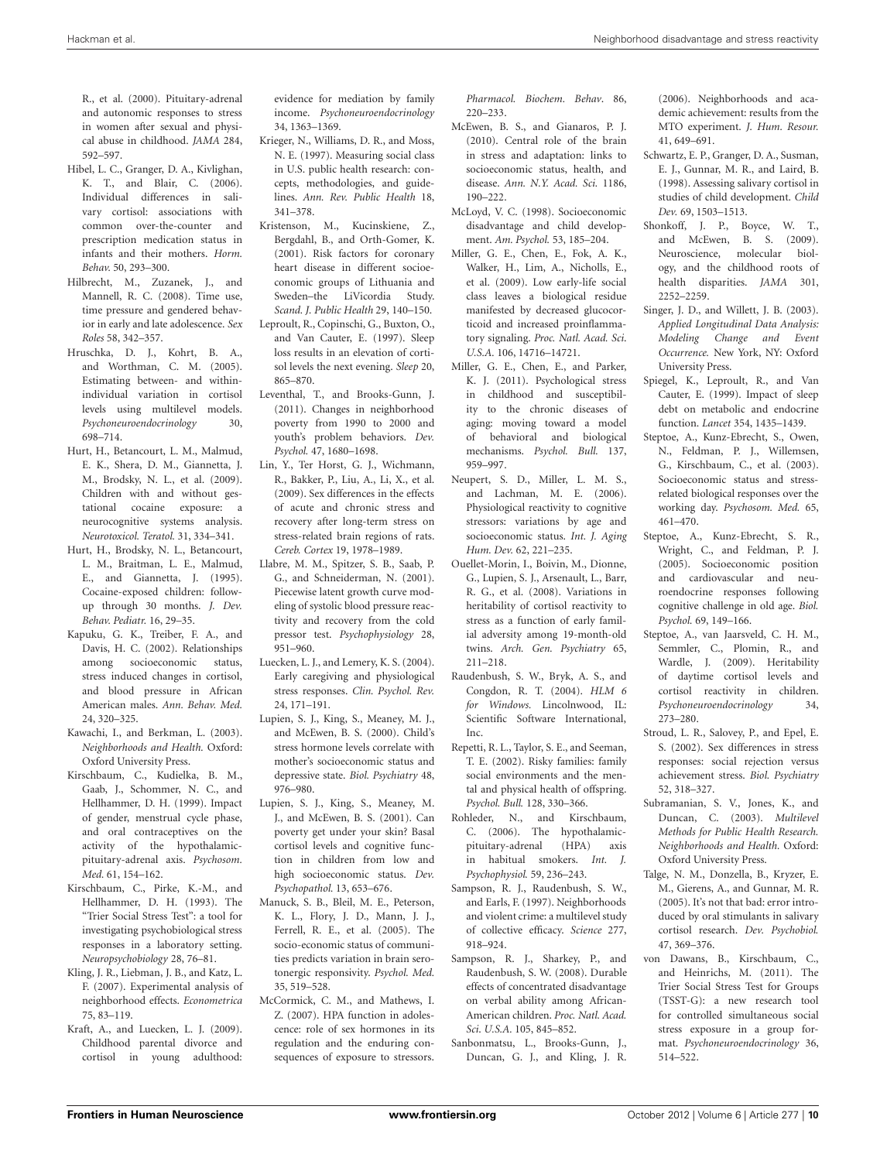R., et al. (2000). Pituitary-adrenal and autonomic responses to stress in women after sexual and physical abuse in childhood. *JAMA* 284, 592–597.

- <span id="page-9-29"></span>Hibel, L. C., Granger, D. A., Kivlighan, K. T., and Blair, C. (2006). Individual differences in salivary cortisol: associations with<br>common over-the-counter and  $common$  over-the-counter prescription medication status in infants and their mothers. *Horm. Behav.* 50, 293–300.
- <span id="page-9-37"></span>Hilbrecht, M., Zuzanek, J., and Mannell, R. C. (2008). Time use, time pressure and gendered behavior in early and late adolescence. *Sex Roles* 58, 342–357.
- <span id="page-9-34"></span>Hruschka, D. J., Kohrt, B. A., and Worthman, C. M. (2005). Estimating between- and withinindividual variation in cortisol levels using multilevel models. *Psychoneuroendocrinology* 30, 698–714.
- <span id="page-9-24"></span>Hurt, H., Betancourt, L. M., Malmud, E. K., Shera, D. M., Giannetta, J. M., Brodsky, N. L., et al. (2009). Children with and without gestational cocaine exposure: a neurocognitive systems analysis. *Neurotoxicol. Teratol.* 31, 334–341.
- <span id="page-9-23"></span>Hurt, H., Brodsky, N. L., Betancourt, L. M., Braitman, L. E., Malmud, E., and Giannetta, J. (1995). Cocaine-exposed children: followup through 30 months. *J. Dev. Behav. Pediatr.* 16, 29–35.
- <span id="page-9-9"></span>Kapuku, G. K., Treiber, F. A., and Davis, H. C. (2002). Relationships among socioeconomic status, stress induced changes in cortisol, and blood pressure in African American males. *Ann. Behav. Med.* 24, 320–325.
- <span id="page-9-13"></span>Kawachi, I., and Berkman, L. (2003). *Neighborhoods and Health.* Oxford: Oxford University Press.
- <span id="page-9-28"></span>Kirschbaum, C., Kudielka, B. M., Gaab, J., Schommer, N. C., and Hellhammer, D. H. (1999). Impact of gender, menstrual cycle phase, and oral contraceptives on the activity of the hypothalamicpituitary-adrenal axis. *Psychosom. Med.* 61, 154–162.
- <span id="page-9-21"></span>Kirschbaum, C., Pirke, K.-M., and Hellhammer, D. H. (1993). The "Trier Social Stress Test": a tool for investigating psychobiological stress responses in a laboratory setting. *Neuropsychobiology* 28, 76–81.
- <span id="page-9-17"></span>Kling, J. R., Liebman, J. B., and Katz, L. F. (2007). Experimental analysis of neighborhood effects. *Econometrica* 75, 83–119.
- <span id="page-9-11"></span>Kraft, A., and Luecken, L. J. (2009). Childhood parental divorce and cortisol in young adulthood:

evidence for mediation by family income. *Psychoneuroendocrinology* 34, 1363–1369.

- <span id="page-9-12"></span>Krieger, N., Williams, D. R., and Moss, N. E. (1997). Measuring social class in U.S. public health research: concepts, methodologies, and guidelines. *Ann. Rev. Public Health* 18, 341–378.
- <span id="page-9-4"></span>Kristenson, M., Kucinskiene, Z., Bergdahl, B., and Orth-Gomer, K. (2001). Risk factors for coronary heart disease in different socioeconomic groups of Lithuania and Sweden–the LiVicordia Study. *Scand. J. Public Health* 29, 140–150.
- <span id="page-9-31"></span>Leproult, R., Copinschi, G., Buxton, O., and Van Cauter, E. (1997). Sleep loss results in an elevation of cortisol levels the next evening. *Sleep* 20, 865–870.
- <span id="page-9-20"></span>Leventhal, T., and Brooks-Gunn, J. (2011). Changes in neighborhood poverty from 1990 to 2000 and youth's problem behaviors. *Dev. Psychol.* 47, 1680–1698.
- <span id="page-9-19"></span>Lin, Y., Ter Horst, G. J., Wichmann, R., Bakker, P., Liu, A., Li, X., et al. (2009). Sex differences in the effects of acute and chronic stress and recovery after long-term stress on stress-related brain regions of rats. *Cereb. Cortex* 19, 1978–1989.
- <span id="page-9-33"></span>Llabre, M. M., Spitzer, S. B., Saab, P. G., and Schneiderman, N. (2001). Piecewise latent growth curve modeling of systolic blood pressure reactivity and recovery from the cold pressor test. *Psychophysiology* 28, 951–960.
- <span id="page-9-39"></span>Luecken, L. J., and Lemery, K. S. (2004). Early caregiving and physiological stress responses. *Clin. Psychol. Rev.* 24, 171–191.
- <span id="page-9-6"></span>Lupien, S. J., King, S., Meaney, M. J., and McEwen, B. S. (2000). Child's stress hormone levels correlate with mother's socioeconomic status and depressive state. *Biol. Psychiatry* 48, 976–980.
- <span id="page-9-7"></span>Lupien, S. J., King, S., Meaney, M. J., and McEwen, B. S. (2001). Can poverty get under your skin? Basal cortisol levels and cognitive function in children from low and high socioeconomic status. *Dev. Psychopathol.* 13, 653–676.
- <span id="page-9-15"></span>Manuck, S. B., Bleil, M. E., Peterson, K. L., Flory, J. D., Mann, J. J., Ferrell, R. E., et al. (2005). The socio-economic status of communities predicts variation in brain serotonergic responsivity. *Psychol. Med.* 35, 519–528.
- <span id="page-9-18"></span>McCormick, C. M., and Mathews, I. Z. (2007). HPA function in adolescence: role of sex hormones in its regulation and the enduring consequences of exposure to stressors.

*Pharmacol. Biochem. Behav*. 86, 220–233.

- <span id="page-9-2"></span>McEwen, B. S., and Gianaros, P. J. (2010). Central role of the brain in stress and adaptation: links to socioeconomic status, health, and disease. *Ann. N.Y. Acad. Sci.* 1186, 190–222.
- <span id="page-9-0"></span>McLoyd, V. C. (1998). Socioeconomic disadvantage and child development. *Am. Psychol.* 53, 185–204.
- <span id="page-9-40"></span>Miller, G. E., Chen, E., Fok, A. K., Walker, H., Lim, A., Nicholls, E., et al. (2009). Low early-life social class leaves a biological residue manifested by decreased glucocorticoid and increased proinflammatory signaling. *Proc. Natl. Acad. Sci*. *U.S.A.* 106, 14716–14721.
- <span id="page-9-3"></span>Miller, G. E., Chen, E., and Parker, K. J. (2011). Psychological stress in childhood and susceptibility to the chronic diseases of aging: moving toward a model of behavioral and biological mechanisms. *Psychol. Bull.* 137, 959–997.
- <span id="page-9-8"></span>Neupert, S. D., Miller, L. M. S., and Lachman, M. E. (2006). Physiological reactivity to cognitive stressors: variations by age and socioeconomic status. *Int. J. Aging Hum. Dev.* 62, 221–235.
- <span id="page-9-42"></span>Ouellet-Morin, I., Boivin, M., Dionne, G., Lupien, S. J., Arsenault, L., Barr, R. G., et al. (2008). Variations in heritability of cortisol reactivity to stress as a function of early familial adversity among 19-month-old twins. *Arch. Gen. Psychiatry* 65, 211–218.
- <span id="page-9-35"></span>Raudenbush, S. W., Bryk, A. S., and Congdon, R. T. (2004). *HLM 6 for Windows.* Lincolnwood, IL: Scientific Software International, Inc.
- <span id="page-9-38"></span>Repetti, R. L., Taylor, S. E., and Seeman, T. E. (2002). Risky families: family social environments and the mental and physical health of offspring. *Psychol. Bull.* 128, 330–366.
- <span id="page-9-30"></span>Rohleder, N., and Kirschbaum, C. (2006). The hypothalamicpituitary-adrenal (HPA) axis in habitual smokers. *Int. J. Psychophysiol.* 59, 236–243.
- <span id="page-9-25"></span>Sampson, R. J., Raudenbush, S. W., and Earls, F. (1997). Neighborhoods and violent crime: a multilevel study of collective efficacy. *Science* 277, 918–924.
- <span id="page-9-14"></span>Sampson, R. J., Sharkey, P., and Raudenbush, S. W. (2008). Durable effects of concentrated disadvantage on verbal ability among African-American children. *Proc. Natl. Acad. Sci*. *U.S.A.* 105, 845–852.
- <span id="page-9-16"></span>Sanbonmatsu, L., Brooks-Gunn, J., Duncan, G. J., and Kling, J. R.

(2006). Neighborhoods and academic achievement: results from the MTO experiment. *J. Hum. Resour.* 41, 649–691.

- <span id="page-9-26"></span>Schwartz, E. P., Granger, D. A., Susman, E. J., Gunnar, M. R., and Laird, B. (1998). Assessing salivary cortisol in studies of child development. *Child Dev.* 69, 1503–1513.
- <span id="page-9-1"></span>Shonkoff, J. P., Boyce, W. T., and McEwen, B. S. (2009). Neuroscience, molecular biology, and the childhood roots of health disparities. *JAMA* 301, 2252–2259.
- <span id="page-9-36"></span>Singer, J. D., and Willett, J. B. (2003). *Applied Longitudinal Data Analysis: Modeling Change and Event Occurrence.* New York, NY: Oxford University Press.
- <span id="page-9-32"></span>Spiegel, K., Leproult, R., and Van Cauter, E. (1999). Impact of sleep debt on metabolic and endocrine function. *Lancet* 354, 1435–1439.
- <span id="page-9-5"></span>Steptoe, A., Kunz-Ebrecht, S., Owen, N., Feldman, P. J., Willemsen, G., Kirschbaum, C., et al. (2003). Socioeconomic status and stressrelated biological responses over the working day. *Psychosom. Med.* 65, 461–470.
- <span id="page-9-10"></span>Steptoe, A., Kunz-Ebrecht, S. R., Wright, C., and Feldman, P. J. (2005). Socioeconomic position and cardiovascular and neuroendocrine responses following cognitive challenge in old age. *Biol. Psychol.* 69, 149–166.
- <span id="page-9-43"></span>Steptoe, A., van Jaarsveld, C. H. M., Semmler, C., Plomin, R., and Wardle, J. (2009). Heritability of daytime cortisol levels and cortisol reactivity in children. *Psychoneuroendocrinology* 34, 273–280.
- <span id="page-9-41"></span>Stroud, L. R., Salovey, P., and Epel, E. S. (2002). Sex differences in stress responses: social rejection versus achievement stress. *Biol. Psychiatry* 52, 318–327.
- <span id="page-9-44"></span>Subramanian, S. V., Jones, K., and Duncan, C. (2003). *Multilevel Methods for Public Health Research. Neighborhoods and Health.* Oxford: Oxford University Press.
- <span id="page-9-27"></span>Talge, N. M., Donzella, B., Kryzer, E. M., Gierens, A., and Gunnar, M. R. (2005). It's not that bad: error introduced by oral stimulants in salivary cortisol research. *Dev. Psychobiol.* 47, 369–376.
- <span id="page-9-22"></span>von Dawans, B., Kirschbaum, C., and Heinrichs, M. (2011). The Trier Social Stress Test for Groups (TSST-G): a new research tool for controlled simultaneous social stress exposure in a group format. *Psychoneuroendocrinology* 36, 514–522.